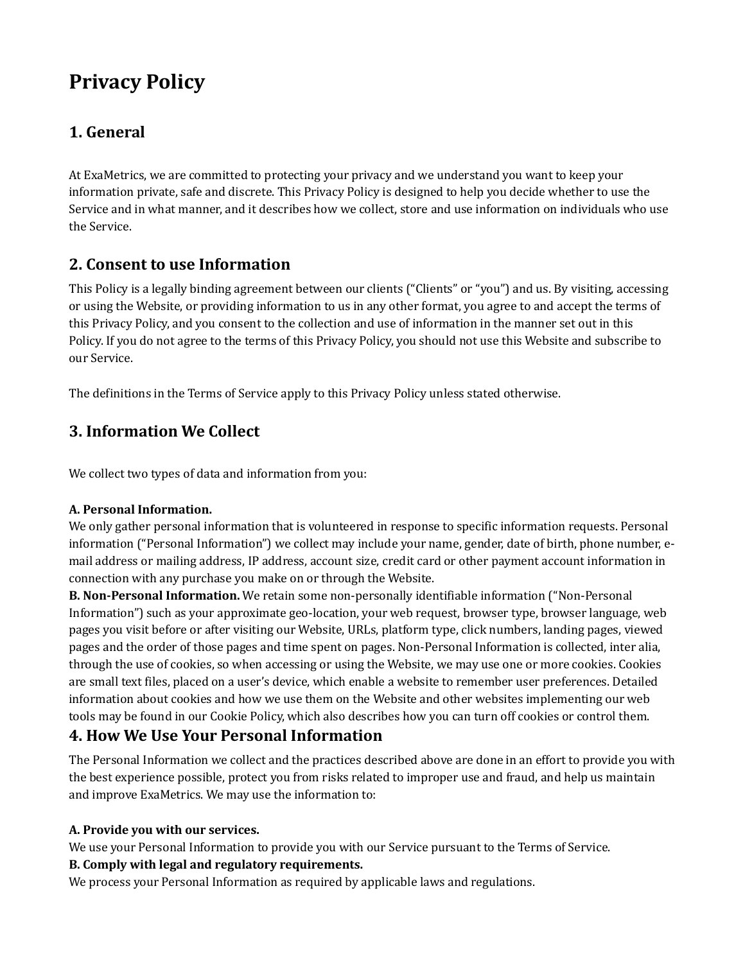# **Privacy Policy**

# **1. General**

At ExaMetrics, we are committed to protecting your privacy and we understand you want to keep your information private, safe and discrete. This Privacy Policy is designed to help you decide whether to use the Service and in what manner, and it describes how we collect, store and use information on individuals who use the Service.

# **2. Consent to use Information**

This Policy is a legally binding agreement between our clients ("Clients" or "you") and us. By visiting, accessing or using the Website, or providing information to us in any other format, you agree to and accept the terms of this Privacy Policy, and you consent to the collection and use of information in the manner set out in this Policy. If you do not agree to the terms of this Privacy Policy, you should not use this Website and subscribe to our Service.

The definitions in the Terms of Service apply to this Privacy Policy unless stated otherwise.

# **3. Information We Collect**

We collect two types of data and information from you:

### **A. Personal Information.**

We only gather personal information that is volunteered in response to specific information requests. Personal information ("Personal Information") we collect may include your name, gender, date of birth, phone number, email address or mailing address, IP address, account size, credit card or other payment account information in connection with any purchase you make on or through the Website.

**B. Non-Personal Information.** We retain some non-personally identifiable information ("Non-Personal Information") such as your approximate geo-location, your web request, browser type, browser language, web pages you visit before or after visiting our Website, URLs, platform type, click numbers, landing pages, viewed pages and the order of those pages and time spent on pages. Non-Personal Information is collected, inter alia, through the use of cookies, so when accessing or using the Website, we may use one or more cookies. Cookies are small text files, placed on a user's device, which enable a website to remember user preferences. Detailed information about cookies and how we use them on the Website and other websites implementing our web tools may be found in our Cookie Policy, which also describes how you can turn off cookies or control them.

# **4. How We Use Your Personal Information**

The Personal Information we collect and the practices described above are done in an effort to provide you with the best experience possible, protect you from risks related to improper use and fraud, and help us maintain and improve ExaMetrics. We may use the information to:

### **A. Provide you with our services.**

We use your Personal Information to provide you with our Service pursuant to the Terms of Service.

### **B. Comply with legal and regulatory requirements.**

We process your Personal Information as required by applicable laws and regulations.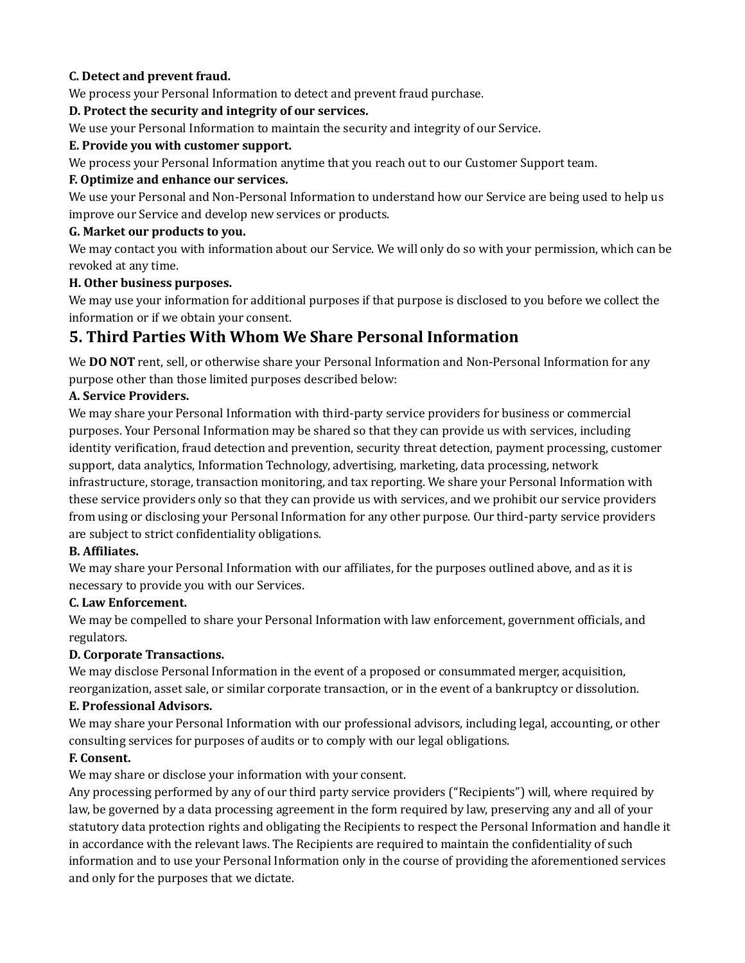### **C. Detect and prevent fraud.**

We process your Personal Information to detect and prevent fraud purchase.

### **D. Protect the security and integrity of our services.**

We use your Personal Information to maintain the security and integrity of our Service.

### **E. Provide you with customer support.**

We process your Personal Information anytime that you reach out to our Customer Support team.

### **F. Optimize and enhance our services.**

We use your Personal and Non-Personal Information to understand how our Service are being used to help us improve our Service and develop new services or products.

### **G. Market our products to you.**

We may contact you with information about our Service. We will only do so with your permission, which can be revoked at any time.

### **H. Other business purposes.**

We may use your information for additional purposes if that purpose is disclosed to you before we collect the information or if we obtain your consent.

### **5. Third Parties With Whom We Share Personal Information**

We **DO NOT** rent, sell, or otherwise share your Personal Information and Non-Personal Information for any purpose other than those limited purposes described below:

### **A. Service Providers.**

We may share your Personal Information with third-party service providers for business or commercial purposes. Your Personal Information may be shared so that they can provide us with services, including identity verification, fraud detection and prevention, security threat detection, payment processing, customer support, data analytics, Information Technology, advertising, marketing, data processing, network infrastructure, storage, transaction monitoring, and tax reporting. We share your Personal Information with these service providers only so that they can provide us with services, and we prohibit our service providers from using or disclosing your Personal Information for any other purpose. Our third-party service providers are subject to strict confidentiality obligations.

### **B. Affiliates.**

We may share your Personal Information with our affiliates, for the purposes outlined above, and as it is necessary to provide you with our Services.

### **C. Law Enforcement.**

We may be compelled to share your Personal Information with law enforcement, government officials, and regulators.

### **D. Corporate Transactions.**

We may disclose Personal Information in the event of a proposed or consummated merger, acquisition, reorganization, asset sale, or similar corporate transaction, or in the event of a bankruptcy or dissolution.

### **E. Professional Advisors.**

We may share your Personal Information with our professional advisors, including legal, accounting, or other consulting services for purposes of audits or to comply with our legal obligations.

### **F. Consent.**

We may share or disclose your information with your consent.

Any processing performed by any of our third party service providers ("Recipients") will, where required by law, be governed by a data processing agreement in the form required by law, preserving any and all of your statutory data protection rights and obligating the Recipients to respect the Personal Information and handle it in accordance with the relevant laws. The Recipients are required to maintain the confidentiality of such information and to use your Personal Information only in the course of providing the aforementioned services and only for the purposes that we dictate.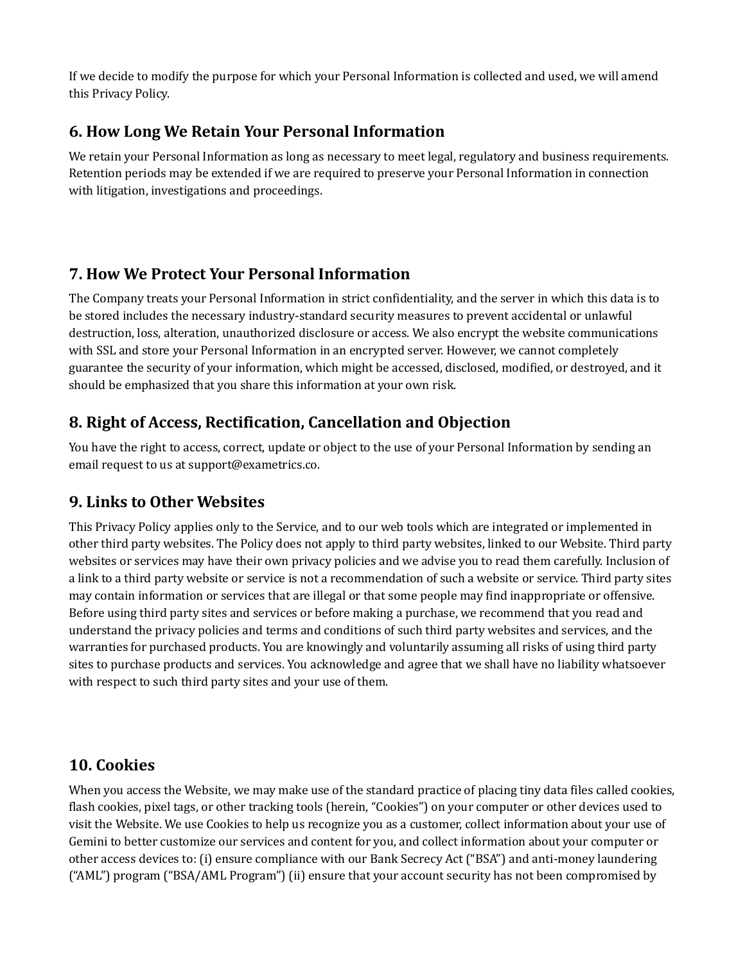If we decide to modify the purpose for which your Personal Information is collected and used, we will amend this Privacy Policy.

# **6. How Long We Retain Your Personal Information**

We retain your Personal Information as long as necessary to meet legal, regulatory and business requirements. Retention periods may be extended if we are required to preserve your Personal Information in connection with litigation, investigations and proceedings.

# **7. How We Protect Your Personal Information**

The Company treats your Personal Information in strict confidentiality, and the server in which this data is to be stored includes the necessary industry-standard security measures to prevent accidental or unlawful destruction, loss, alteration, unauthorized disclosure or access. We also encrypt the website communications with SSL and store your Personal Information in an encrypted server. However, we cannot completely guarantee the security of your information, which might be accessed, disclosed, modified, or destroyed, and it should be emphasized that you share this information at your own risk.

# **8. Right of Access, Rectification, Cancellation and Objection**

You have the right to access, correct, update or object to the use of your Personal Information by sending an email request to us at support@exametrics.co.

# **9. Links to Other Websites**

This Privacy Policy applies only to the Service, and to our web tools which are integrated or implemented in other third party websites. The Policy does not apply to third party websites, linked to our Website. Third party websites or services may have their own privacy policies and we advise you to read them carefully. Inclusion of a link to a third party website or service is not a recommendation of such a website or service. Third party sites may contain information or services that are illegal or that some people may find inappropriate or offensive. Before using third party sites and services or before making a purchase, we recommend that you read and understand the privacy policies and terms and conditions of such third party websites and services, and the warranties for purchased products. You are knowingly and voluntarily assuming all risks of using third party sites to purchase products and services. You acknowledge and agree that we shall have no liability whatsoever with respect to such third party sites and your use of them.

# **10. Cookies**

When you access the Website, we may make use of the standard practice of placing tiny data files called cookies, flash cookies, pixel tags, or other tracking tools (herein, "Cookies") on your computer or other devices used to visit the Website. We use Cookies to help us recognize you as a customer, collect information about your use of Gemini to better customize our services and content for you, and collect information about your computer or other access devices to: (i) ensure compliance with our Bank Secrecy Act ("BSA") and anti-money laundering ("AML") program ("BSA/AML Program") (ii) ensure that your account security has not been compromised by